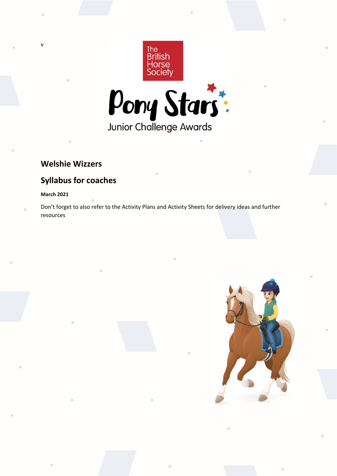



# **Welshie Wizzers**

# **Syllabus for coaches**

# **March 2021**

v

Don't forget to also refer to the Activity Plans and Activity Sheets for delivery ideas and further resources

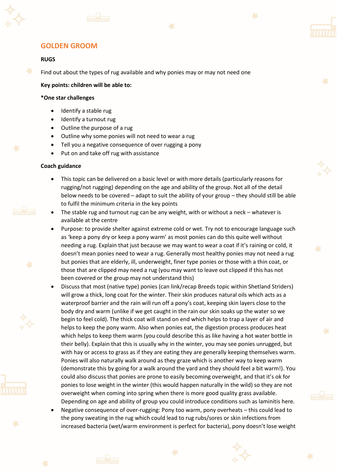





# **RUGS**

Find out about the types of rug available and why ponies may or may not need one

**Key points: children will be able to:**

#### **\*One star challenges**

- Identify a stable rug
- Identify a turnout rug
- Outline the purpose of a rug
- Outline why some ponies will not need to wear a rug
- Tell you a negative consequence of over rugging a pony
- Put on and take off rug with assistance

#### **Coach guidance**

- This topic can be delivered on a basic level or with more details (particularly reasons for rugging/not rugging) depending on the age and ability of the group. Not all of the detail below needs to be covered – adapt to suit the ability of your group – they should still be able to fulfil the minimum criteria in the key points
- The stable rug and turnout rug can be any weight, with or without a neck whatever is available at the centre
- Purpose: to provide shelter against extreme cold or wet. Try not to encourage language such as 'keep a pony dry or keep a pony warm' as most ponies can do this quite well without needing a rug. Explain that just because we may want to wear a coat if it's raining or cold, it doesn't mean ponies need to wear a rug. Generally most healthy ponies may not need a rug but ponies that are elderly, ill, underweight, finer type ponies or those with a thin coat, or those that are clipped may need a rug (you may want to leave out clipped if this has not been covered or the group may not understand this)
- Discuss that most (native type) ponies (can link/recap Breeds topic within Shetland Striders) will grow a thick, long coat for the winter. Their skin produces natural oils which acts as a waterproof barrier and the rain will run off a pony's coat, keeping skin layers close to the body dry and warm (unlike if we get caught in the rain our skin soaks up the water so we begin to feel cold). The thick coat will stand on end which helps to trap a layer of air and helps to keep the pony warm. Also when ponies eat, the digestion process produces heat which helps to keep them warm (you could describe this as like having a hot water bottle in their belly). Explain that this is usually why in the winter, you may see ponies unrugged, but with hay or access to grass as if they are eating they are generally keeping themselves warm. Ponies will also naturally walk around as they graze which is another way to keep warm (demonstrate this by going for a walk around the yard and they should feel a bit warm!). You could also discuss that ponies are prone to easily becoming overweight, and that it's ok for ponies to lose weight in the winter (this would happen naturally in the wild) so they are not overweight when coming into spring when there is more good quality grass available. Depending on age and ability of group you could introduce conditions such as laminitis here.
- Negative consequence of over-rugging: Pony too warm, pony overheats this could lead to the pony sweating in the rug which could lead to rug rubs/sores or skin infections from increased bacteria (wet/warm environment is perfect for bacteria), pony doesn't lose weight





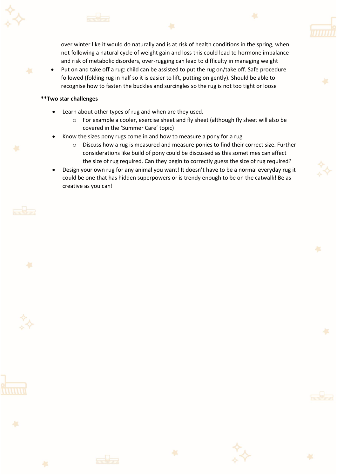

• Put on and take off a rug: child can be assisted to put the rug on/take off. Safe procedure followed (folding rug in half so it is easier to lift, putting on gently). Should be able to recognise how to fasten the buckles and surcingles so the rug is not too tight or loose

- Learn about other types of rug and when are they used.
	- o For example a cooler, exercise sheet and fly sheet (although fly sheet will also be covered in the 'Summer Care' topic)
- Know the sizes pony rugs come in and how to measure a pony for a rug
	- o Discuss how a rug is measured and measure ponies to find their correct size. Further considerations like build of pony could be discussed as this sometimes can affect the size of rug required. Can they begin to correctly guess the size of rug required?
- Design your own rug for any animal you want! It doesn't have to be a normal everyday rug it could be one that has hidden superpowers or is trendy enough to be on the catwalk! Be as creative as you can!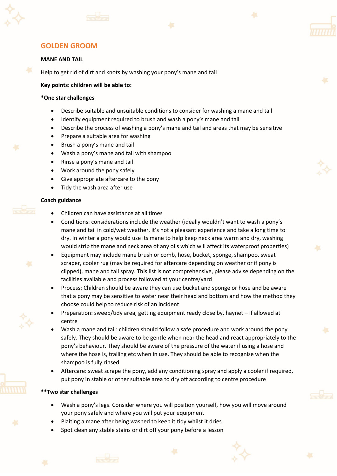



#### **MANE AND TAIL**

Help to get rid of dirt and knots by washing your pony's mane and tail

**Key points: children will be able to:**

#### **\*One star challenges**

- Describe suitable and unsuitable conditions to consider for washing a mane and tail
- Identify equipment required to brush and wash a pony's mane and tail
- Describe the process of washing a pony's mane and tail and areas that may be sensitive
- Prepare a suitable area for washing
- Brush a pony's mane and tail
- Wash a pony's mane and tail with shampoo
- Rinse a pony's mane and tail
- Work around the pony safely
- Give appropriate aftercare to the pony
- Tidy the wash area after use

#### **Coach guidance**



- Children can have assistance at all times
- Conditions: considerations include the weather (ideally wouldn't want to wash a pony's mane and tail in cold/wet weather, it's not a pleasant experience and take a long time to dry. In winter a pony would use its mane to help keep neck area warm and dry, washing would strip the mane and neck area of any oils which will affect its waterproof properties)
- Equipment may include mane brush or comb, hose, bucket, sponge, shampoo, sweat scraper, cooler rug (may be required for aftercare depending on weather or if pony is clipped), mane and tail spray. This list is not comprehensive, please advise depending on the facilities available and process followed at your centre/yard
- Process: Children should be aware they can use bucket and sponge or hose and be aware that a pony may be sensitive to water near their head and bottom and how the method they choose could help to reduce risk of an incident
- Preparation: sweep/tidy area, getting equipment ready close by, haynet if allowed at centre
- Wash a mane and tail: children should follow a safe procedure and work around the pony safely. They should be aware to be gentle when near the head and react appropriately to the pony's behaviour. They should be aware of the pressure of the water if using a hose and where the hose is, trailing etc when in use. They should be able to recognise when the shampoo is fully rinsed
- Aftercare: sweat scrape the pony, add any conditioning spray and apply a cooler if required, put pony in stable or other suitable area to dry off according to centre procedure

- Wash a pony's legs. Consider where you will position yourself, how you will move around your pony safely and where you will put your equipment
- Plaiting a mane after being washed to keep it tidy whilst it dries
- Spot clean any stable stains or dirt off your pony before a lesson





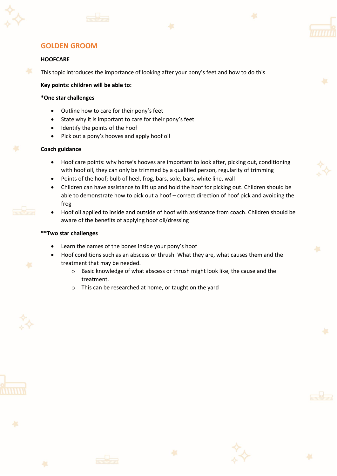





## **HOOFCARE**

This topic introduces the importance of looking after your pony's feet and how to do this

**Key points: children will be able to:**

#### **\*One star challenges**

- Outline how to care for their pony's feet
- State why it is important to care for their pony's feet
- Identify the points of the hoof
- Pick out a pony's hooves and apply hoof oil

#### **Coach guidance**

- Hoof care points: why horse's hooves are important to look after, picking out, conditioning with hoof oil, they can only be trimmed by a qualified person, regularity of trimming
- Points of the hoof; bulb of heel, frog, bars, sole, bars, white line, wall
- Children can have assistance to lift up and hold the hoof for picking out. Children should be able to demonstrate how to pick out a hoof – correct direction of hoof pick and avoiding the frog
- Hoof oil applied to inside and outside of hoof with assistance from coach. Children should be aware of the benefits of applying hoof oil/dressing

- Learn the names of the bones inside your pony's hoof
- Hoof conditions such as an abscess or thrush. What they are, what causes them and the treatment that may be needed.
	- o Basic knowledge of what abscess or thrush might look like, the cause and the treatment.
	- o This can be researched at home, or taught on the yard





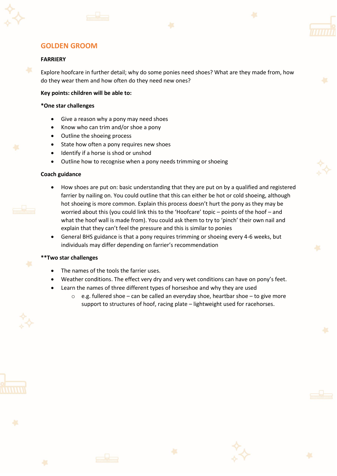





#### **FARRIERY**

Explore hoofcare in further detail; why do some ponies need shoes? What are they made from, how do they wear them and how often do they need new ones?

#### **Key points: children will be able to:**

#### **\*One star challenges**

- Give a reason why a pony may need shoes
- Know who can trim and/or shoe a pony
- Outline the shoeing process
- State how often a pony requires new shoes
- Identify if a horse is shod or unshod
- Outline how to recognise when a pony needs trimming or shoeing

#### **Coach guidance**



- How shoes are put on: basic understanding that they are put on by a qualified and registered farrier by nailing on. You could outline that this can either be hot or cold shoeing, although hot shoeing is more common. Explain this process doesn't hurt the pony as they may be worried about this (you could link this to the 'Hoofcare' topic – points of the hoof – and what the hoof wall is made from). You could ask them to try to 'pinch' their own nail and explain that they can't feel the pressure and this is similar to ponies
- General BHS guidance is that a pony requires trimming or shoeing every 4-6 weeks, but individuals may differ depending on farrier's recommendation

- The names of the tools the farrier uses.
- Weather conditions. The effect very dry and very wet conditions can have on pony's feet.
- Learn the names of three different types of horseshoe and why they are used
	- $\circ$  e.g. fullered shoe can be called an everyday shoe, heartbar shoe to give more support to structures of hoof, racing plate – lightweight used for racehorses.





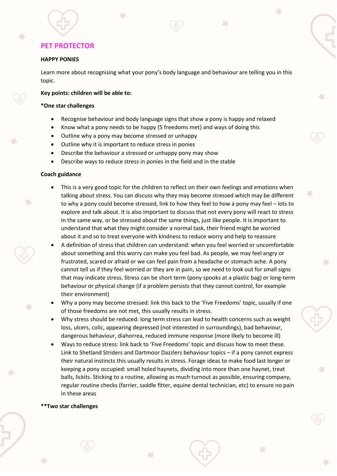#### **HAPPY PONIES**

Learn more about recognising what your pony's body language and behaviour are telling you in this topic.

 $\overline{\mathcal{L}}$ 

#### **Key points: children will be able to:**

#### **\*One star challenges**

- Recognise behaviour and body language signs that show a pony is happy and relaxed
- Know what a pony needs to be happy (5 freedoms met) and ways of doing this
- Outline why a pony may become stressed or unhappy
- Outline why it is important to reduce stress in ponies
- Describe the behaviour a stressed or unhappy pony may show
- Describe ways to reduce stress in ponies in the field and in the stable

#### **Coach guidance**

- This is a very good topic for the children to reflect on their own feelings and emotions when talking about stress. You can discuss why they may become stressed which may be different to why a pony could become stressed, link to how they feel to how a pony may feel – lots to explore and talk about. It is also important to discuss that not every pony will react to stress in the same way, or be stressed about the same things, just like people. It is important to understand that what they might consider a normal task, their friend might be worried about it and so to treat everyone with kindness to reduce worry and help to reassure
- A definition of stress that children can understand: when you feel worried or uncomfortable about something and this worry can make you feel bad. As people, we may feel angry or frustrated, scared or afraid or we can feel pain from a headache or stomach ache. A pony cannot tell us if they feel worried or they are in pain, so we need to look out for small signs that may indicate stress. Stress can be short term (pony spooks at a plastic bag) or long-term behaviour or physical change (if a problem persists that they cannot control, for example their environment)
- Why a pony may become stressed: link this back to the 'Five Freedoms' topic, usually if one of those freedoms are not met, this usually results in stress.
- Why stress should be reduced: long term stress can lead to health concerns such as weight loss, ulcers, colic, appearing depressed (not interested in surroundings), bad behaviour, dangerous behaviour, diahorrea, reduced immune response (more likely to become ill)
- Ways to reduce stress: link back to 'Five Freedoms' topic and discuss how to meet these. Link to Shetland Striders and Dartmoor Dazzlers behaviour topics – if a pony cannot express their natural instincts this usually results in stress. Forage ideas to make food last longer or keeping a pony occupied: small holed haynets, dividing into more than one haynet, treat balls, lickits. Sticking to a routine, allowing as much turnout as possible, ensuring company, regular routine checks (farrier, saddle fitter, equine dental technician, etc) to ensure no pain in these areas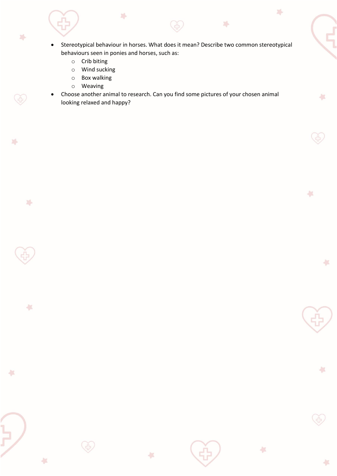• Stereotypical behaviour in horses. What does it mean? Describe two common stereotypical behaviours seen in ponies and horses, such as:

序

 $\sqrt{2}$ 

 $\frac{1}{2}$ 

収

 $\frac{1}{2}$ 

 $\frac{1}{2}$ 

 $\leftarrow$ 

序

o Crib biting

琴

Š

 $\mathbb{Z}^L$ 

 $\mathbb{Z}^4$ 

 $\frac{1}{2}$ 

 $\leftarrow$ 

÷

o Wind sucking

 $\mathbb{R}^4$ 

- o Box walking
- o Weaving
- Choose another animal to research. Can you find some pictures of your chosen animal looking relaxed and happy?

収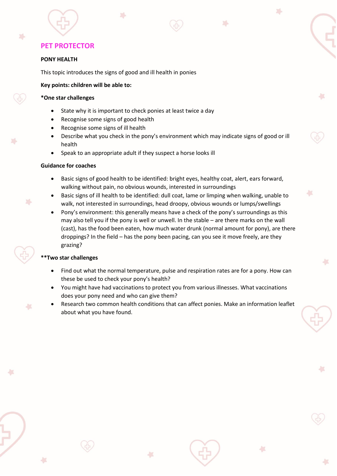# **PONY HEALTH**

This topic introduces the signs of good and ill health in ponies

## **Key points: children will be able to:**

#### **\*One star challenges**

- State why it is important to check ponies at least twice a day
- Recognise some signs of good health
- Recognise some signs of ill health
- Describe what you check in the pony's environment which may indicate signs of good or ill health

 $\overline{\phantom{a}}$ 

• Speak to an appropriate adult if they suspect a horse looks ill

#### **Guidance for coaches**

- Basic signs of good health to be identified: bright eyes, healthy coat, alert, ears forward, walking without pain, no obvious wounds, interested in surroundings
- Basic signs of ill health to be identified: dull coat, lame or limping when walking, unable to walk, not interested in surroundings, head droopy, obvious wounds or lumps/swellings
- Pony's environment: this generally means have a check of the pony's surroundings as this may also tell you if the pony is well or unwell. In the stable – are there marks on the wall (cast), has the food been eaten, how much water drunk (normal amount for pony), are there droppings? In the field – has the pony been pacing, can you see it move freely, are they grazing?

- Find out what the normal temperature, pulse and respiration rates are for a pony. How can these be used to check your pony's health?
- You might have had vaccinations to protect you from various illnesses. What vaccinations does your pony need and who can give them?
- Research two common health conditions that can affect ponies. Make an information leaflet about what you have found.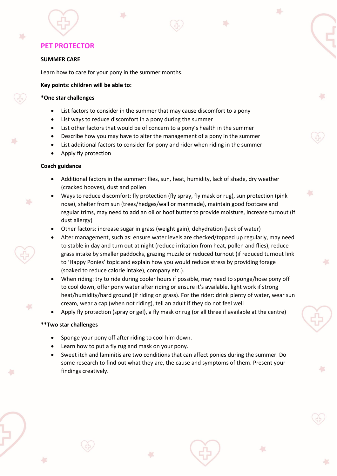# **SUMMER CARE**

Learn how to care for your pony in the summer months.

# **Key points: children will be able to:**

#### **\*One star challenges**

- List factors to consider in the summer that may cause discomfort to a pony
- List ways to reduce discomfort in a pony during the summer
- List other factors that would be of concern to a pony's health in the summer
- Describe how you may have to alter the management of a pony in the summer
- List additional factors to consider for pony and rider when riding in the summer
- Apply fly protection

# **Coach guidance**

- Additional factors in the summer: flies, sun, heat, humidity, lack of shade, dry weather (cracked hooves), dust and pollen
- Ways to reduce discomfort: fly protection (fly spray, fly mask or rug), sun protection (pink nose), shelter from sun (trees/hedges/wall or manmade), maintain good footcare and regular trims, may need to add an oil or hoof butter to provide moisture, increase turnout (if dust allergy)

A.

- Other factors: increase sugar in grass (weight gain), dehydration (lack of water)
- Alter management, such as: ensure water levels are checked/topped up regularly, may need to stable in day and turn out at night (reduce irritation from heat, pollen and flies), reduce grass intake by smaller paddocks, grazing muzzle or reduced turnout (if reduced turnout link to 'Happy Ponies' topic and explain how you would reduce stress by providing forage (soaked to reduce calorie intake), company etc.).
- When riding: try to ride during cooler hours if possible, may need to sponge/hose pony off to cool down, offer pony water after riding or ensure it's available, light work if strong heat/humidity/hard ground (if riding on grass). For the rider: drink plenty of water, wear sun cream, wear a cap (when not riding), tell an adult if they do not feel well
- Apply fly protection (spray or gel), a fly mask or rug (or all three if available at the centre)

- Sponge your pony off after riding to cool him down.
- Learn how to put a fly rug and mask on your pony.
- Sweet itch and laminitis are two conditions that can affect ponies during the summer. Do some research to find out what they are, the cause and symptoms of them. Present your findings creatively.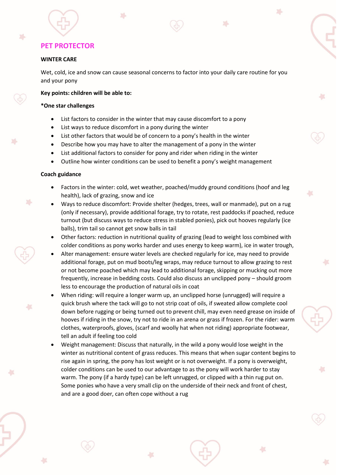#### **WINTER CARE**

踪

Wet, cold, ice and snow can cause seasonal concerns to factor into your daily care routine for you and your pony

A.

#### **Key points: children will be able to:**

#### **\*One star challenges**

- List factors to consider in the winter that may cause discomfort to a pony
- List ways to reduce discomfort in a pony during the winter
- List other factors that would be of concern to a pony's health in the winter
- Describe how you may have to alter the management of a pony in the winter
- List additional factors to consider for pony and rider when riding in the winter
- Outline how winter conditions can be used to benefit a pony's weight management

#### **Coach guidance**

F.

- Factors in the winter: cold, wet weather, poached/muddy ground conditions (hoof and leg health), lack of grazing, snow and ice
- Ways to reduce discomfort: Provide shelter (hedges, trees, wall or manmade), put on a rug (only if necessary), provide additional forage, try to rotate, rest paddocks if poached, reduce turnout (but discuss ways to reduce stress in stabled ponies), pick out hooves regularly (ice balls), trim tail so cannot get snow balls in tail
- Other factors: reduction in nutritional quality of grazing (lead to weight loss combined with colder conditions as pony works harder and uses energy to keep warm), ice in water trough,
- Alter management: ensure water levels are checked regularly for ice, may need to provide additional forage, put on mud boots/leg wraps, may reduce turnout to allow grazing to rest or not become poached which may lead to additional forage, skipping or mucking out more frequently, increase in bedding costs. Could also discuss an unclipped pony – should groom less to encourage the production of natural oils in coat
- When riding: will require a longer warm up, an unclipped horse (unrugged) will require a quick brush where the tack will go to not strip coat of oils, if sweated allow complete cool down before rugging or being turned out to prevent chill, may even need grease on inside of hooves if riding in the snow, try not to ride in an arena or grass if frozen. For the rider: warm clothes, waterproofs, gloves, (scarf and woolly hat when not riding) appropriate footwear, tell an adult if feeling too cold
- Weight management: Discuss that naturally, in the wild a pony would lose weight in the winter as nutritional content of grass reduces. This means that when sugar content begins to rise again in spring, the pony has lost weight or is not overweight. If a pony is overweight, colder conditions can be used to our advantage to as the pony will work harder to stay warm. The pony (if a hardy type) can be left unrugged, or clipped with a thin rug put on. Some ponies who have a very small clip on the underside of their neck and front of chest, and are a good doer, can often cope without a rug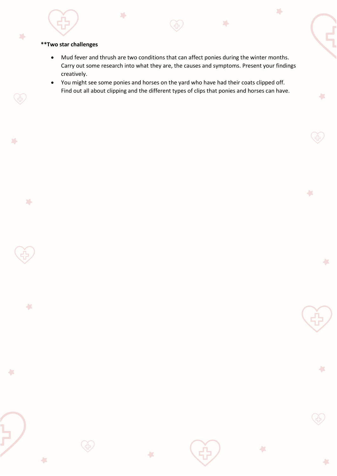## **\*\*Two star challenges**

 $\mathbb{Z}^4$ 

Ğ

N.

 $\mathbb{Z}^4$ 

 $\frac{2\pi}{\sqrt{3}}$ 

仁

÷

 $\Sigma_{\rm P}$ 

• Mud fever and thrush are two conditions that can affect ponies during the winter months. Carry out some research into what they are, the causes and symptoms. Present your findings creatively.

×

 $\frac{1}{2}$ 

 $\ddot{\phantom{1}}$ 

収

 $\frac{1}{2}$ 

÷

 $\sqrt{2}$ 

 $\mathbb{Z}^4$ 

• You might see some ponies and horses on the yard who have had their coats clipped off. Find out all about clipping and the different types of clips that ponies and horses can have.

収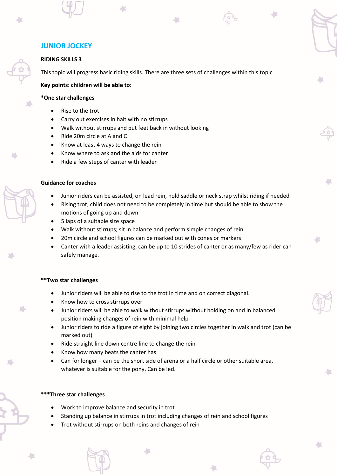# **RIDING SKILLS 3**

This topic will progress basic riding skills. There are three sets of challenges within this topic.

**Key points: children will be able to:**

## **\*One star challenges**

- Rise to the trot
- Carry out exercises in halt with no stirrups
- Walk without stirrups and put feet back in without looking
- Ride 20m circle at A and C
- Know at least 4 ways to change the rein
- Know where to ask and the aids for canter
- Ride a few steps of canter with leader

## **Guidance for coaches**

- Junior riders can be assisted, on lead rein, hold saddle or neck strap whilst riding if needed
- Rising trot; child does not need to be completely in time but should be able to show the motions of going up and down
- 5 laps of a suitable size space
- Walk without stirrups; sit in balance and perform simple changes of rein
- 20m circle and school figures can be marked out with cones or markers
- Canter with a leader assisting, can be up to 10 strides of canter or as many/few as rider can safely manage.

## **\*\*Two star challenges**

- Junior riders will be able to rise to the trot in time and on correct diagonal.
- Know how to cross stirrups over
- Junior riders will be able to walk without stirrups without holding on and in balanced position making changes of rein with minimal help
- Junior riders to ride a figure of eight by joining two circles together in walk and trot (can be marked out)
- Ride straight line down centre line to change the rein
- Know how many beats the canter has
- Can for longer can be the short side of arena or a half circle or other suitable area, whatever is suitable for the pony. Can be led.

## **\*\*\*Three star challenges**

- Work to improve balance and security in trot
- Standing up balance in stirrups in trot including changes of rein and school figures

イン

• Trot without stirrups on both reins and changes of rein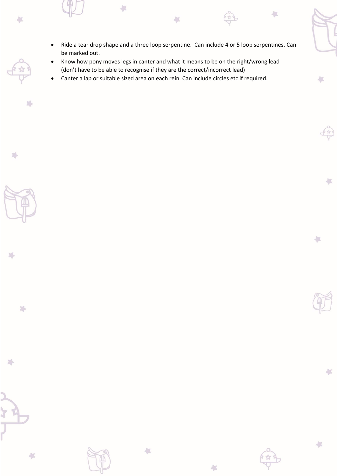• Ride a tear drop shape and a three loop serpentine. Can include 4 or 5 loop serpentines. Can be marked out.

**A** 

- Know how pony moves legs in canter and what it means to be on the right/wrong lead (don't have to be able to recognise if they are the correct/incorrect lead)
- Canter a lap or suitable sized area on each rein. Can include circles etc if required.

 $\overline{\phantom{a}}$ 

斗

47

24

 $\sum_{\alpha}$ 

N.

 $\frac{1}{2}$ 

 $\sum_{i=1}^n$ 



 $\sqrt{2}$ 

 $\frac{1}{2}$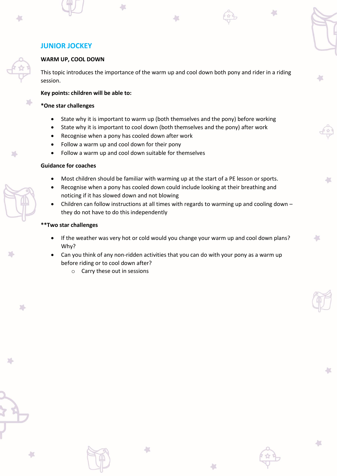# **JUNIOR JOCKEY**

#### **WARM UP, COOL DOWN**

This topic introduces the importance of the warm up and cool down both pony and rider in a riding session.

#### **Key points: children will be able to:**

#### **\*One star challenges**

- State why it is important to warm up (both themselves and the pony) before working
- State why it is important to cool down (both themselves and the pony) after work
- Recognise when a pony has cooled down after work
- Follow a warm up and cool down for their pony
- Follow a warm up and cool down suitable for themselves

# **Guidance for coaches**

- Most children should be familiar with warming up at the start of a PE lesson or sports.
- Recognise when a pony has cooled down could include looking at their breathing and noticing if it has slowed down and not blowing
- Children can follow instructions at all times with regards to warming up and cooling down they do not have to do this independently

## **\*\*Two star challenges**

- If the weather was very hot or cold would you change your warm up and cool down plans? Why?
- Can you think of any non-ridden activities that you can do with your pony as a warm up before riding or to cool down after?
	- o Carry these out in sessions



冯

A.

×



4X

Ł

収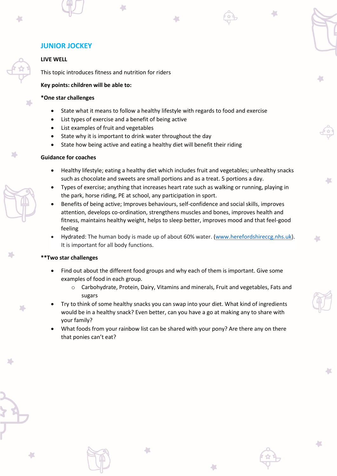# **JUNIOR JOCKEY**

# **LIVE WELL**

This topic introduces fitness and nutrition for riders

#### **Key points: children will be able to:**

#### **\*One star challenges**

- State what it means to follow a healthy lifestyle with regards to food and exercise
- List types of exercise and a benefit of being active
- List examples of fruit and vegetables
- State why it is important to drink water throughout the day
- State how being active and eating a healthy diet will benefit their riding

#### **Guidance for coaches**

- Healthy lifestyle; eating a healthy diet which includes fruit and vegetables; unhealthy snacks such as chocolate and sweets are small portions and as a treat. 5 portions a day.
- Types of exercise; anything that increases heart rate such as walking or running, playing in the park, horse riding, PE at school, any participation in sport.
- Benefits of being active; Improves behaviours, self-confidence and social skills, improves attention, develops co-ordination, strengthens muscles and bones, improves health and fitness, maintains healthy weight, helps to sleep better, improves mood and that feel-good feeling
- Hydrated: The human body is made up of about 60% water. [\(www.herefordshireccg.nhs.uk\)](http://www.herefordshireccg.nhs.uk/). It is important for all body functions.

#### **\*\*Two star challenges**

- Find out about the different food groups and why each of them is important. Give some examples of food in each group.
	- o Carbohydrate, Protein, Dairy, Vitamins and minerals, Fruit and vegetables, Fats and sugars
- Try to think of some healthy snacks you can swap into your diet. What kind of ingredients would be in a healthy snack? Even better, can you have a go at making any to share with your family?
- What foods from your rainbow list can be shared with your pony? Are there any on there that ponies can't eat?

 $\left\| \cdot \right\|$ 

J.

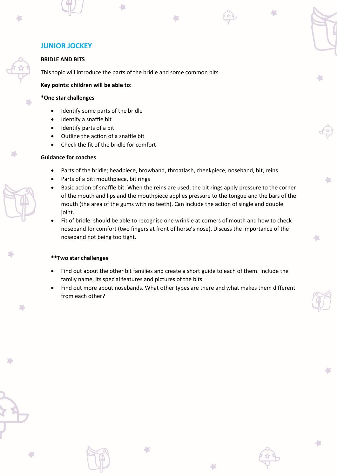# **JUNIOR JOCKEY**

#### **BRIDLE AND BITS**

This topic will introduce the parts of the bridle and some common bits

**Key points: children will be able to:**

#### **\*One star challenges**

- Identify some parts of the bridle
- Identify a snaffle bit
- Identify parts of a bit
- Outline the action of a snaffle bit
- Check the fit of the bridle for comfort

# **Guidance for coaches**

- Parts of the bridle; headpiece, browband, throatlash, cheekpiece, noseband, bit, reins
- Parts of a bit: mouthpiece, bit rings
- Basic action of snaffle bit: When the reins are used, the bit rings apply pressure to the corner of the mouth and lips and the mouthpiece applies pressure to the tongue and the bars of the mouth (the area of the gums with no teeth). Can include the action of single and double joint.

h 7

m

Fit of bridle: should be able to recognise one wrinkle at corners of mouth and how to check noseband for comfort (two fingers at front of horse's nose). Discuss the importance of the noseband not being too tight.

## **\*\*Two star challenges**

4X

• Find out about the other bit families and create a short guide to each of them. Include the family name, its special features and pictures of the bits.

氩

• Find out more about nosebands. What other types are there and what makes them different from each other?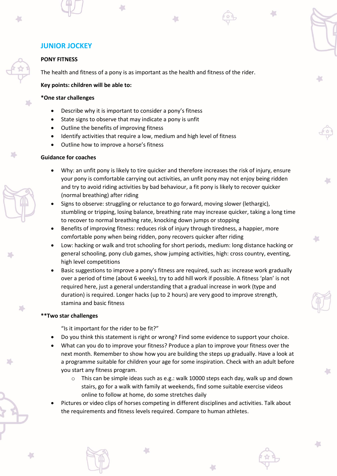# **PONY FITNESS**

The health and fitness of a pony is as important as the health and fitness of the rider.

# **Key points: children will be able to:**

## **\*One star challenges**

- Describe why it is important to consider a pony's fitness
- State signs to observe that may indicate a pony is unfit
- Outline the benefits of improving fitness
- Identify activities that require a low, medium and high level of fitness
- Outline how to improve a horse's fitness

## **Guidance for coaches**

- Why: an unfit pony is likely to tire quicker and therefore increases the risk of injury, ensure your pony is comfortable carrying out activities, an unfit pony may not enjoy being ridden and try to avoid riding activities by bad behaviour, a fit pony is likely to recover quicker (normal breathing) after riding
- Signs to observe: struggling or reluctance to go forward, moving slower (lethargic), stumbling or tripping, losing balance, breathing rate may increase quicker, taking a long time to recover to normal breathing rate, knocking down jumps or stopping
- Benefits of improving fitness: reduces risk of injury through tiredness, a happier, more comfortable pony when being ridden, pony recovers quicker after riding
- Low: hacking or walk and trot schooling for short periods, medium: long distance hacking or general schooling, pony club games, show jumping activities, high: cross country, eventing, high level competitions
- Basic suggestions to improve a pony's fitness are required, such as: increase work gradually over a period of time (about 6 weeks), try to add hill work if possible. A fitness 'plan' is not required here, just a general understanding that a gradual increase in work (type and duration) is required. Longer hacks (up to 2 hours) are very good to improve strength, stamina and basic fitness

## **\*\*Two star challenges**

"Is it important for the rider to be fit?"

- Do you think this statement is right or wrong? Find some evidence to support your choice.
- What can you do to improve your fitness? Produce a plan to improve your fitness over the next month. Remember to show how you are building the steps up gradually. Have a look at a programme suitable for children your age for some inspiration. Check with an adult before you start any fitness program.
	- $\circ$  This can be simple ideas such as e.g.: walk 10000 steps each day, walk up and down stairs, go for a walk with family at weekends, find some suitable exercise videos online to follow at home, do some stretches daily
- Pictures or video clips of horses competing in different disciplines and activities. Talk about the requirements and fitness levels required. Compare to human athletes.

41



X.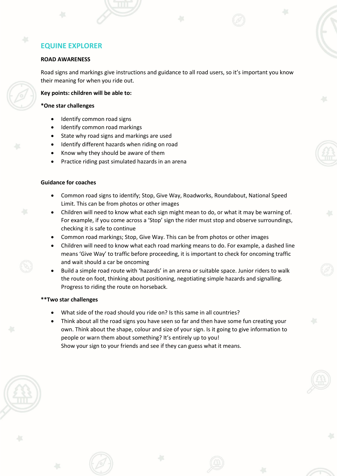# **ROAD AWARENESS**

Road signs and markings give instructions and guidance to all road users, so it's important you know their meaning for when you ride out.

## **Key points: children will be able to:**

#### **\*One star challenges**

- Identify common road signs
- Identify common road markings
- State why road signs and markings are used
- Identify different hazards when riding on road
- Know why they should be aware of them
- Practice riding past simulated hazards in an arena

# **Guidance for coaches**

- Common road signs to identify; Stop, Give Way, Roadworks, Roundabout, National Speed Limit. This can be from photos or other images
- Children will need to know what each sign might mean to do, or what it may be warning of. For example, if you come across a 'Stop' sign the rider must stop and observe surroundings, checking it is safe to continue
- Common road markings; Stop, Give Way. This can be from photos or other images
- Children will need to know what each road marking means to do. For example, a dashed line means 'Give Way' to traffic before proceeding, it is important to check for oncoming traffic and wait should a car be oncoming
- Build a simple road route with 'hazards' in an arena or suitable space. Junior riders to walk the route on foot, thinking about positioning, negotiating simple hazards and signalling. Progress to riding the route on horseback.

- What side of the road should you ride on? Is this same in all countries?
- Think about all the road signs you have seen so far and then have some fun creating your own. Think about the shape, colour and size of your sign. Is it going to give information to people or warn them about something? It's entirely up to you! Show your sign to your friends and see if they can guess what it means.

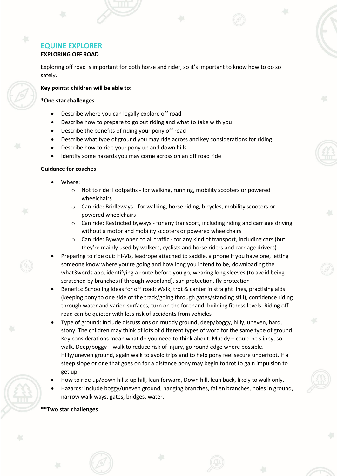# **EXPLORING OFF ROAD**

Exploring off road is important for both horse and rider, so it's important to know how to do so safely.

# **Key points: children will be able to:**

# **\*One star challenges**

- Describe where you can legally explore off road
- Describe how to prepare to go out riding and what to take with you
- Describe the benefits of riding your pony off road
- Describe what type of ground you may ride across and key considerations for riding
- Describe how to ride your pony up and down hills
- Identify some hazards you may come across on an off road ride

# **Guidance for coaches**

- Where:
	- o Not to ride: Footpaths for walking, running, mobility scooters or powered wheelchairs
	- o Can ride: Bridleways for walking, horse riding, bicycles, mobility scooters or powered wheelchairs
	- o Can ride: Restricted byways for any transport, including riding and carriage driving without a motor and mobility scooters or powered wheelchairs
	- $\circ$  Can ride: Byways open to all traffic for any kind of transport, including cars (but they're mainly used by walkers, cyclists and horse riders and carriage drivers)
- Preparing to ride out: Hi-Viz, leadrope attached to saddle, a phone if you have one, letting someone know where you're going and how long you intend to be, downloading the what3words app, identifying a route before you go, wearing long sleeves (to avoid being scratched by branches if through woodland), sun protection, fly protection
- Benefits: Schooling ideas for off road: Walk, trot & canter in straight lines, practising aids (keeping pony to one side of the track/going through gates/standing still), confidence riding through water and varied surfaces, turn on the forehand, building fitness levels. Riding off road can be quieter with less risk of accidents from vehicles
- Type of ground: include discussions on muddy ground, deep/boggy, hilly, uneven, hard, stony. The children may think of lots of different types of word for the same type of ground. Key considerations mean what do you need to think about. Muddy – could be slippy, so walk. Deep/boggy – walk to reduce risk of injury, go round edge where possible. Hilly/uneven ground, again walk to avoid trips and to help pony feel secure underfoot. If a steep slope or one that goes on for a distance pony may begin to trot to gain impulsion to get up
- How to ride up/down hills: up hill, lean forward, Down hill, lean back, likely to walk only.
- Hazards: include boggy/uneven ground, hanging branches, fallen branches, holes in ground, narrow walk ways, gates, bridges, water.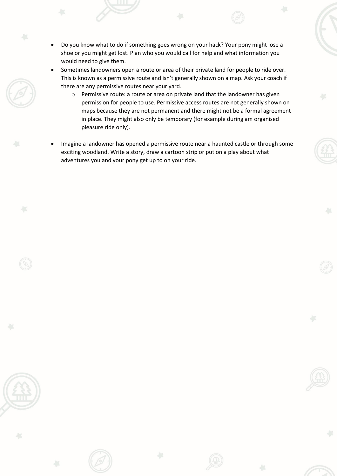- Do you know what to do if something goes wrong on your hack? Your pony might lose a shoe or you might get lost. Plan who you would call for help and what information you would need to give them.
- Sometimes landowners open a route or area of their private land for people to ride over. This is known as a permissive route and isn't generally shown on a map. Ask your coach if there are any permissive routes near your yard.
	- o Permissive route: a route or area on private land that the landowner has given permission for people to use. Permissive access routes are not generally shown on maps because they are not permanent and there might not be a formal agreement in place. They might also only be temporary (for example during am organised pleasure ride only).
- Imagine a landowner has opened a permissive route near a haunted castle or through some exciting woodland. Write a story, draw a cartoon strip or put on a play about what adventures you and your pony get up to on your ride.

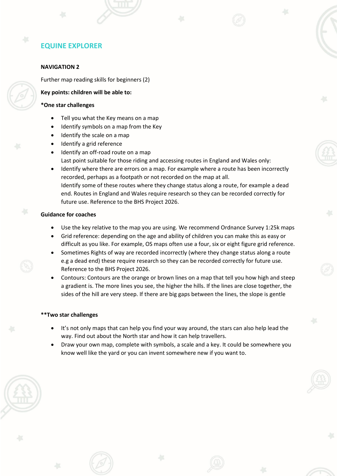#### **NAVIGATION 2**

Further map reading skills for beginners (2)

#### **Key points: children will be able to:**

#### **\*One star challenges**

- Tell you what the Key means on a map
- Identify symbols on a map from the Key
- Identify the scale on a map
- Identify a grid reference
- Identify an off-road route on a map Last point suitable for those riding and accessing routes in England and Wales only:
- Identify where there are errors on a map. For example where a route has been incorrectly recorded, perhaps as a footpath or not recorded on the map at all. Identify some of these routes where they change status along a route, for example a dead end. Routes in England and Wales require research so they can be recorded correctly for future use. Reference to the BHS Project 2026.

#### **Guidance for coaches**

- Use the key relative to the map you are using. We recommend Ordnance Survey 1:25k maps
- Grid reference: depending on the age and ability of children you can make this as easy or difficult as you like. For example, OS maps often use a four, six or eight figure grid reference.
- Sometimes Rights of way are recorded incorrectly (where they change status along a route e.g a dead end) these require research so they can be recorded correctly for future use. Reference to the BHS Project 2026.
- Contours: Contours are the orange or brown lines on a map that tell you how high and steep a gradient is. The more lines you see, the higher the hills. If the lines are close together, the sides of the hill are very steep. If there are big gaps between the lines, the slope is gentle

- It's not only maps that can help you find your way around, the stars can also help lead the way. Find out about the North star and how it can help travellers.
- Draw your own map, complete with symbols, a scale and a key. It could be somewhere you know well like the yard or you can invent somewhere new if you want to.

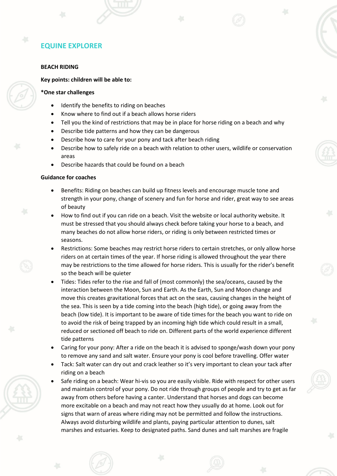#### **BEACH RIDING**

#### **Key points: children will be able to:**

#### **\*One star challenges**

- Identify the benefits to riding on beaches
- Know where to find out if a beach allows horse riders
- Tell you the kind of restrictions that may be in place for horse riding on a beach and why
- Describe tide patterns and how they can be dangerous
- Describe how to care for your pony and tack after beach riding
- Describe how to safely ride on a beach with relation to other users, wildlife or conservation areas
- Describe hazards that could be found on a beach

#### **Guidance for coaches**

- Benefits: Riding on beaches can build up fitness levels and encourage muscle tone and strength in your pony, change of scenery and fun for horse and rider, great way to see areas of beauty
- How to find out if you can ride on a beach. Visit the website or local authority website. It must be stressed that you should always check before taking your horse to a beach, and many beaches do not allow horse riders, or riding is only between restricted times or seasons.
- Restrictions: Some beaches may restrict horse riders to certain stretches, or only allow horse riders on at certain times of the year. If horse riding is allowed throughout the year there may be restrictions to the time allowed for horse riders. This is usually for the rider's benefit so the beach will be quieter
- Tides: Tides refer to the rise and fall of (most commonly) the sea/oceans, caused by the interaction between the Moon, Sun and Earth. As the Earth, Sun and Moon change and move this creates gravitational forces that act on the seas, causing changes in the height of the sea. This is seen by a tide coming into the beach (high tide), or going away from the beach (low tide). It is important to be aware of tide times for the beach you want to ride on to avoid the risk of being trapped by an incoming high tide which could result in a small, reduced or sectioned off beach to ride on. Different parts of the world experience different tide patterns
- Caring for your pony: After a ride on the beach it is advised to sponge/wash down your pony to remove any sand and salt water. Ensure your pony is cool before travelling. Offer water
- Tack: Salt water can dry out and crack leather so it's very important to clean your tack after riding on a beach
- Safe riding on a beach: Wear hi-vis so you are easily visible. Ride with respect for other users and maintain control of your pony. Do not ride through groups of people and try to get as far away from others before having a canter. Understand that horses and dogs can become more excitable on a beach and may not react how they usually do at home. Look out for signs that warn of areas where riding may not be permitted and follow the instructions. Always avoid disturbing wildlife and plants, paying particular attention to dunes, salt marshes and estuaries. Keep to designated paths. Sand dunes and salt marshes are fragile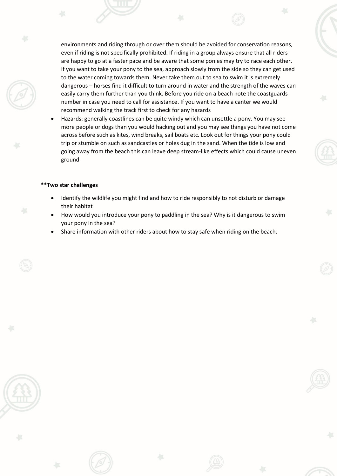environments and riding through or over them should be avoided for conservation reasons, even if riding is not specifically prohibited. If riding in a group always ensure that all riders are happy to go at a faster pace and be aware that some ponies may try to race each other. If you want to take your pony to the sea, approach slowly from the side so they can get used to the water coming towards them. Never take them out to sea to swim it is extremely dangerous – horses find it difficult to turn around in water and the strength of the waves can easily carry them further than you think. Before you ride on a beach note the coastguards number in case you need to call for assistance. If you want to have a canter we would recommend walking the track first to check for any hazards

• Hazards: generally coastlines can be quite windy which can unsettle a pony. You may see more people or dogs than you would hacking out and you may see things you have not come across before such as kites, wind breaks, sail boats etc. Look out for things your pony could trip or stumble on such as sandcastles or holes dug in the sand. When the tide is low and going away from the beach this can leave deep stream-like effects which could cause uneven ground

- Identify the wildlife you might find and how to ride responsibly to not disturb or damage their habitat
- How would you introduce your pony to paddling in the sea? Why is it dangerous to swim your pony in the sea?
- Share information with other riders about how to stay safe when riding on the beach.

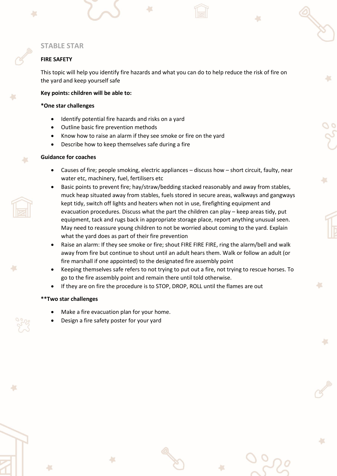# **FIRE SAFETY**

This topic will help you identify fire hazards and what you can do to help reduce the risk of fire on the yard and keep yourself safe

#### **Key points: children will be able to:**

#### **\*One star challenges**

- Identify potential fire hazards and risks on a yard
- Outline basic fire prevention methods
- Know how to raise an alarm if they see smoke or fire on the yard
- Describe how to keep themselves safe during a fire

## **Guidance for coaches**

- Causes of fire; people smoking, electric appliances discuss how short circuit, faulty, near water etc, machinery, fuel, fertilisers etc
- Basic points to prevent fire; hay/straw/bedding stacked reasonably and away from stables, muck heap situated away from stables, fuels stored in secure areas, walkways and gangways kept tidy, switch off lights and heaters when not in use, firefighting equipment and evacuation procedures. Discuss what the part the children can play – keep areas tidy, put equipment, tack and rugs back in appropriate storage place, report anything unusual seen. May need to reassure young children to not be worried about coming to the yard. Explain what the yard does as part of their fire prevention
- Raise an alarm: If they see smoke or fire; shout FIRE FIRE FIRE, ring the alarm/bell and walk away from fire but continue to shout until an adult hears them. Walk or follow an adult (or fire marshall if one appointed) to the designated fire assembly point
- Keeping themselves safe refers to not trying to put out a fire, not trying to rescue horses. To go to the fire assembly point and remain there until told otherwise.
- If they are on fire the procedure is to STOP, DROP, ROLL until the flames are out

#### **\*\*Two star challenges**

- Make a fire evacuation plan for your home.
- Design a fire safety poster for your yard

 $\overline{\phantom{a}}$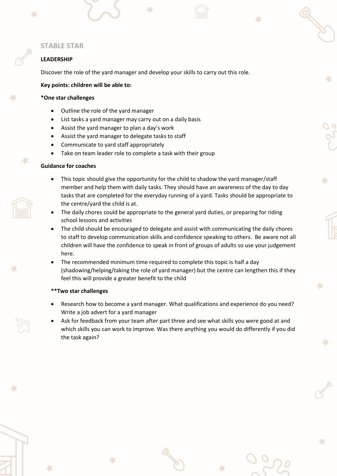# **LEADERSHIP**

Discover the role of the yard manager and develop your skills to carry out this role.

#### **Key points: children will be able to:**

#### **\*One star challenges**

- Outline the role of the yard manager
- List tasks a yard manager may carry out on a daily basis
- Assist the yard manager to plan a day's work
- Assist the yard manager to delegate tasks to staff
- Communicate to yard staff appropriately
- Take on team leader role to complete a task with their group

## **Guidance for coaches**

- This topic should give the opportunity for the child to shadow the yard manager/staff member and help them with daily tasks. They should have an awareness of the day to day tasks that are completed for the everyday running of a yard. Tasks should be appropriate to the centre/yard the child is at.
- The daily chores could be appropriate to the general yard duties, or preparing for riding school lessons and activities
- The child should be encouraged to delegate and assist with communicating the daily chores to staff to develop communication skills and confidence speaking to others. Be aware not all children will have the confidence to speak in front of groups of adults so use your judgement here.
- The recommended minimum time required to complete this topic is half a day (shadowing/helping/taking the role of yard manager) but the centre can lengthen this if they feel this will provide a greater benefit to the child

- Research how to become a yard manager. What qualifications and experience do you need? Write a job advert for a yard manager
- Ask for feedback from your team after part three and see what skills you were good at and which skills you can work to improve. Was there anything you would do differently if you did the task again?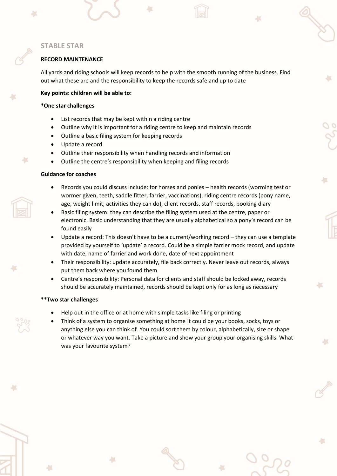#### **RECORD MAINTENANCE**

All yards and riding schools will keep records to help with the smooth running of the business. Find out what these are and the responsibility to keep the records safe and up to date

#### **Key points: children will be able to:**

#### **\*One star challenges**

- List records that may be kept within a riding centre
- Outline why it is important for a riding centre to keep and maintain records
- Outline a basic filing system for keeping records
- Update a record
- Outline their responsibility when handling records and information
- Outline the centre's responsibility when keeping and filing records

#### **Guidance for coaches**

×

- Records you could discuss include: for horses and ponies health records (worming test or wormer given, teeth, saddle fitter, farrier, vaccinations), riding centre records (pony name, age, weight limit, activities they can do), client records, staff records, booking diary
- Basic filing system: they can describe the filing system used at the centre, paper or electronic. Basic understanding that they are usually alphabetical so a pony's record can be found easily
- Update a record: This doesn't have to be a current/working record they can use a template provided by yourself to 'update' a record. Could be a simple farrier mock record, and update with date, name of farrier and work done, date of next appointment
- Their responsibility: update accurately, file back correctly. Never leave out records, always put them back where you found them
- Centre's responsibility: Personal data for clients and staff should be locked away, records should be accurately maintained, records should be kept only for as long as necessary

- Help out in the office or at home with simple tasks like filing or printing
- Think of a system to organise something at home It could be your books, socks, toys or anything else you can think of. You could sort them by colour, alphabetically, size or shape or whatever way you want. Take a picture and show your group your organising skills. What was your favourite system?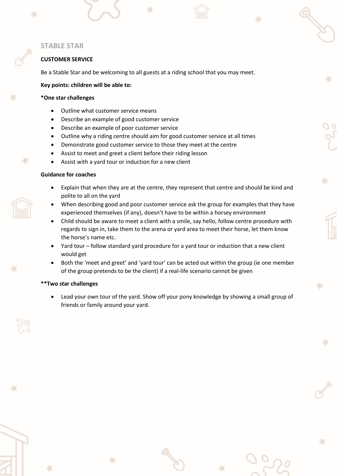# **CUSTOMER SERVICE**

Be a Stable Star and be welcoming to all guests at a riding school that you may meet.

#### **Key points: children will be able to:**

#### **\*One star challenges**

- Outline what customer service means
- Describe an example of good customer service
- Describe an example of poor customer service
- Outline why a riding centre should aim for good customer service at all times
- Demonstrate good customer service to those they meet at the centre
- Assist to meet and greet a client before their riding lesson
- Assist with a yard tour or induction for a new client

#### **Guidance for coaches**

×

- Explain that when they are at the centre, they represent that centre and should be kind and polite to all on the yard
- When describing good and poor customer service ask the group for examples that they have experienced themselves (if any), doesn't have to be within a horsey environment
- Child should be aware to meet a client with a smile, say hello, follow centre procedure with regards to sign in, take them to the arena or yard area to meet their horse, let them know the horse's name etc.
- Yard tour follow standard yard procedure for a yard tour or induction that a new client would get
- Both the 'meet and greet' and 'yard tour' can be acted out within the group (ie one member of the group pretends to be the client) if a real-life scenario cannot be given

## **\*\*Two star challenges**

• Lead your own tour of the yard. Show off your pony knowledge by showing a small group of friends or family around your yard.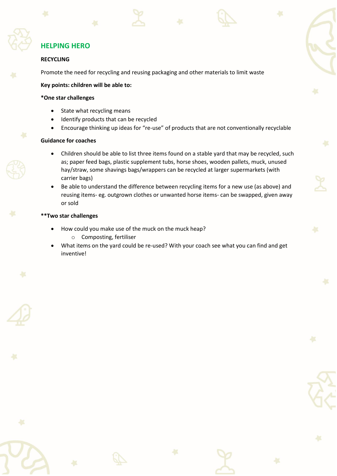# **HELPING HERO**

# **RECYCLING**

Promote the need for recycling and reusing packaging and other materials to limit waste

# **Key points: children will be able to:**

# **\*One star challenges**

- State what recycling means
- Identify products that can be recycled
- Encourage thinking up ideas for "re-use" of products that are not conventionally recyclable

# **Guidance for coaches**

- Children should be able to list three items found on a stable yard that may be recycled, such as; paper feed bags, plastic supplement tubs, horse shoes, wooden pallets, muck, unused hay/straw, some shavings bags/wrappers can be recycled at larger supermarkets (with carrier bags)
- Be able to understand the difference between recycling items for a new use (as above) and reusing items- eg. outgrown clothes or unwanted horse items- can be swapped, given away or sold

- How could you make use of the muck on the muck heap? o Composting, fertiliser
- What items on the yard could be re-used? With your coach see what you can find and get inventive!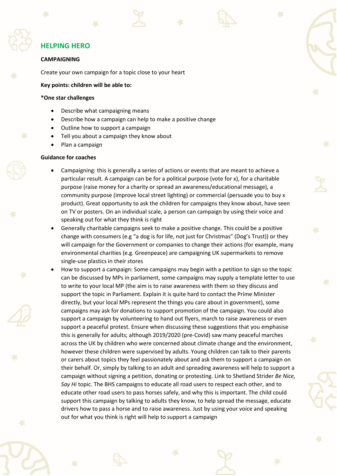# **HELPING HERO**

#### **CAMPAIGNING**

Create your own campaign for a topic close to your heart

**Key points: children will be able to:**

#### **\*One star challenges**

- Describe what campaigning means
- Describe how a campaign can help to make a positive change
- Outline how to support a campaign
- Tell you about a campaign they know about
- Plan a campaign

#### **Guidance for coaches**

- Campaigning: this is generally a series of actions or events that are meant to achieve a particular result. A campaign can be for a political purpose (vote for x), for a charitable purpose (raise money for a charity or spread an awareness/educational message), a community purpose (improve local street lighting) or commercial (persuade you to buy x product). Great opportunity to ask the children for campaigns they know about, have seen on TV or posters. On an individual scale, a person can campaign by using their voice and speaking out for what they think is right
- Generally charitable campaigns seek to make a positive change. This could be a positive change with consumers (e.g "a dog is for life, not just for Christmas" (Dog's Trust)) or they will campaign for the Government or companies to change their actions (for example, many environmental charities (e.g. Greenpeace) are campaigning UK supermarkets to remove single-use plastics in their stores
- How to support a campaign: Some campaigns may begin with a petition to sign so the topic can be discussed by MPs in parliament, some campaigns may supply a template letter to use to write to your local MP (the aim is to raise awareness with them so they discuss and support the topic in Parliament. Explain it is quite hard to contact the Prime Minister directly, but your local MPs represent the things you care about in government), some campaigns may ask for donations to support promotion of the campaign. You could also support a campaign by volunteering to hand out flyers, march to raise awareness or even support a peaceful protest. Ensure when discussing these suggestions that you emphasise this is generally for adults; although 2019/2020 (pre-Covid) saw many peaceful marches across the UK by children who were concerned about climate change and the environment, however these children were supervised by adults. Young children can talk to their parents or carers about topics they feel passionately about and ask them to support a campaign on their behalf. Or, simply by talking to an adult and spreading awareness will help to support a campaign without signing a petition, donating or protesting. Link to Shetland Strider *Be Nice, Say Hi* topic. The BHS campaigns to educate all road users to respect each other, and to educate other road users to pass horses safely, and why this is important. The child could support this campaign by talking to adults they know, to help spread the message, educate drivers how to pass a horse and to raise awareness. Just by using your voice and speaking out for what you think is right will help to support a campaign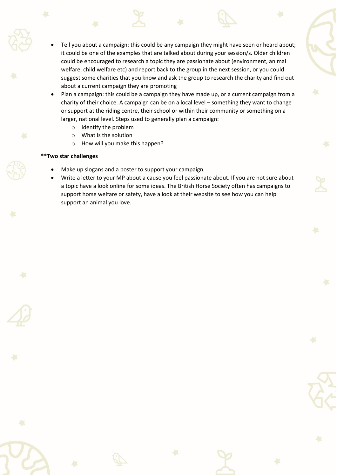- Tell you about a campaign: this could be any campaign they might have seen or heard about; it could be one of the examples that are talked about during your session/s. Older children could be encouraged to research a topic they are passionate about (environment, animal welfare, child welfare etc) and report back to the group in the next session, or you could suggest some charities that you know and ask the group to research the charity and find out about a current campaign they are promoting
- Plan a campaign: this could be a campaign they have made up, or a current campaign from a charity of their choice. A campaign can be on a local level – something they want to change or support at the riding centre, their school or within their community or something on a larger, national level. Steps used to generally plan a campaign:
	- o Identify the problem
	- o What is the solution
	- o How will you make this happen?

- Make up slogans and a poster to support your campaign.
- Write a letter to your MP about a cause you feel passionate about. If you are not sure about a topic have a look online for some ideas. The British Horse Society often has campaigns to support horse welfare or safety, have a look at their website to see how you can help support an animal you love.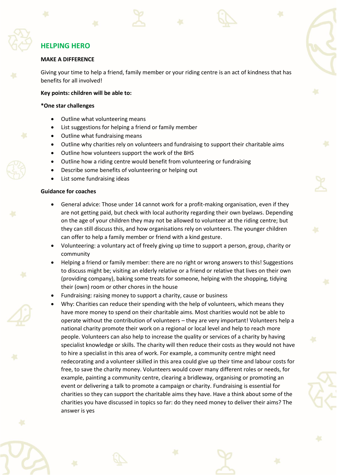# **HELPING HERO**

#### **MAKE A DIFFERENCE**

Giving your time to help a friend, family member or your riding centre is an act of kindness that has benefits for all involved!

#### **Key points: children will be able to:**

#### **\*One star challenges**

- Outline what volunteering means
- List suggestions for helping a friend or family member
- Outline what fundraising means
- Outline why charities rely on volunteers and fundraising to support their charitable aims
- Outline how volunteers support the work of the BHS
- Outline how a riding centre would benefit from volunteering or fundraising
- Describe some benefits of volunteering or helping out
- List some fundraising ideas

#### **Guidance for coaches**

- General advice: Those under 14 cannot work for a profit-making organisation, even if they are not getting paid, but check with local authority regarding their own byelaws. Depending on the age of your children they may not be allowed to volunteer at the riding centre; but they can still discuss this, and how organisations rely on volunteers. The younger children can offer to help a family member or friend with a kind gesture.
- Volunteering: a voluntary act of freely giving up time to support a person, group, charity or community
- Helping a friend or family member: there are no right or wrong answers to this! Suggestions to discuss might be; visiting an elderly relative or a friend or relative that lives on their own (providing company), baking some treats for someone, helping with the shopping, tidying their (own) room or other chores in the house
- Fundraising: raising money to support a charity, cause or business
- Why: Charities can reduce their spending with the help of volunteers, which means they have more money to spend on their charitable aims. Most charities would not be able to operate without the contribution of volunteers – they are very important! Volunteers help a national charity promote their work on a regional or local level and help to reach more people. Volunteers can also help to increase the quality or services of a charity by having specialist knowledge or skills. The charity will then reduce their costs as they would not have to hire a specialist in this area of work. For example, a community centre might need redecorating and a volunteer skilled in this area could give up their time and labour costs for free, to save the charity money. Volunteers would cover many different roles or needs, for example, painting a community centre, clearing a bridleway, organising or promoting an event or delivering a talk to promote a campaign or charity. Fundraising is essential for charities so they can support the charitable aims they have. Have a think about some of the charities you have discussed in topics so far: do they need money to deliver their aims? The answer is yes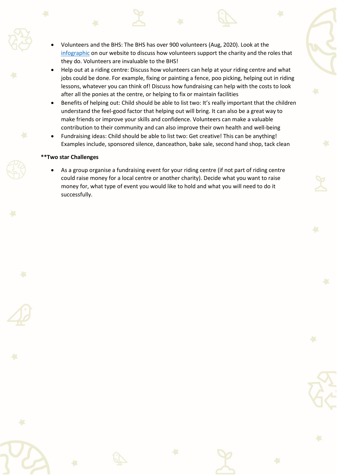- Volunteers and the BHS: The BHS has over 900 volunteers (Aug, 2020). Look at the [infographic](https://www.bhs.org.uk/get-involved/volunteer) on our website to discuss how volunteers support the charity and the roles that they do. Volunteers are invaluable to the BHS!
- Help out at a riding centre: Discuss how volunteers can help at your riding centre and what jobs could be done. For example, fixing or painting a fence, poo picking, helping out in riding lessons, whatever you can think of! Discuss how fundraising can help with the costs to look after all the ponies at the centre, or helping to fix or maintain facilities
- Benefits of helping out: Child should be able to list two: It's really important that the children understand the feel-good factor that helping out will bring. It can also be a great way to make friends or improve your skills and confidence. Volunteers can make a valuable contribution to their community and can also improve their own health and well-being
- Fundraising ideas: Child should be able to list two: Get creative! This can be anything! Examples include, sponsored silence, danceathon, bake sale, second hand shop, tack clean

#### **\*\*Two star Challenges**

• As a group organise a fundraising event for your riding centre (if not part of riding centre could raise money for a local centre or another charity). Decide what you want to raise money for, what type of event you would like to hold and what you will need to do it successfully.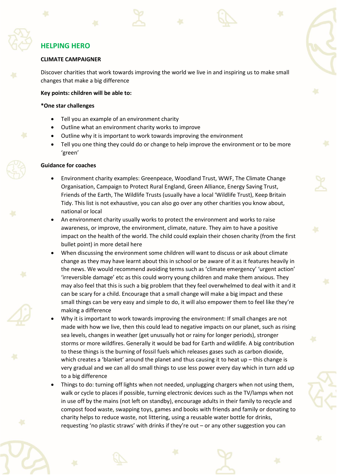# **HELPING HERO**

#### **CLIMATE CAMPAIGNER**

Discover charities that work towards improving the world we live in and inspiring us to make small changes that make a big difference

#### **Key points: children will be able to:**

#### **\*One star challenges**

- Tell you an example of an environment charity
- Outline what an environment charity works to improve
- Outline why it is important to work towards improving the environment
- Tell you one thing they could do or change to help improve the environment or to be more 'green'

#### **Guidance for coaches**

- Environment charity examples: Greenpeace, Woodland Trust, WWF, The Climate Change Organisation, Campaign to Protect Rural England, Green Alliance, Energy Saving Trust, Friends of the Earth, The Wildlife Trusts (usually have a local 'Wildlife Trust), Keep Britain Tidy. This list is not exhaustive, you can also go over any other charities you know about, national or local
- An environment charity usually works to protect the environment and works to raise awareness, or improve, the environment, climate, nature. They aim to have a positive impact on the health of the world. The child could explain their chosen charity (from the first bullet point) in more detail here
- When discussing the environment some children will want to discuss or ask about climate change as they may have learnt about this in school or be aware of it as it features heavily in the news. We would recommend avoiding terms such as 'climate emergency' 'urgent action' 'irreversible damage' etc as this could worry young children and make them anxious. They may also feel that this is such a big problem that they feel overwhelmed to deal with it and it can be scary for a child. Encourage that a small change will make a big impact and these small things can be very easy and simple to do, it will also empower them to feel like they're making a difference
- Why it is important to work towards improving the environment: If small changes are not made with how we live, then this could lead to negative impacts on our planet, such as rising sea levels, changes in weather (get unusually hot or rainy for longer periods), stronger storms or more wildfires. Generally it would be bad for Earth and wildlife. A big contribution to these things is the burning of fossil fuels which releases gases such as carbon dioxide, which creates a 'blanket' around the planet and thus causing it to heat up – this change is very gradual and we can all do small things to use less power every day which in turn add up to a big difference
- Things to do: turning off lights when not needed, unplugging chargers when not using them, walk or cycle to places if possible, turning electronic devices such as the TV/lamps when not in use off by the mains (not left on standby), encourage adults in their family to recycle and compost food waste, swapping toys, games and books with friends and family or donating to charity helps to reduce waste, not littering, using a reusable water bottle for drinks, requesting 'no plastic straws' with drinks if they're out – or any other suggestion you can